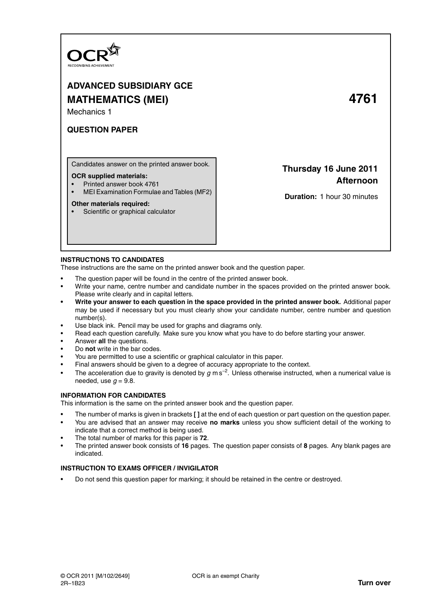

# **ADVANCED SUBSIDIARY GCE MATHEMATICS (MEI) 4761**

Mechanics 1

## **QUESTION PAPER**

Candidates answer on the printed answer book.

#### **OCR supplied materials:**

- Printed answer book 4761
- MEI Examination Formulae and Tables (MF2)

#### **Other materials required:**

Scientific or graphical calculator

**Thursday 16 June 2011 Afternoon**

**Duration:** 1 hour 30 minutes

#### **INSTRUCTIONS TO CANDIDATES**

These instructions are the same on the printed answer book and the question paper.

- The question paper will be found in the centre of the printed answer book.
- Write your name, centre number and candidate number in the spaces provided on the printed answer book. Please write clearly and in capital letters.
- **Write your answer to each question in the space provided in the printed answer book.** Additional paper may be used if necessary but you must clearly show your candidate number, centre number and question number(s).
- Use black ink. Pencil may be used for graphs and diagrams only.
- Read each question carefully. Make sure you know what you have to do before starting your answer.
- Answer **all** the questions.
- Do **not** write in the bar codes.
- You are permitted to use a scientific or graphical calculator in this paper.
- Final answers should be given to a degree of accuracy appropriate to the context.
- The acceleration due to gravity is denoted by  $g$  m s<sup>−2</sup>. Unless otherwise instructed, when a numerical value is needed, use  $q = 9.8$ .

#### **INFORMATION FOR CANDIDATES**

This information is the same on the printed answer book and the question paper.

- The number of marks is given in brackets **[ ]** at the end of each question or part question on the question paper.
- You are advised that an answer may receive **no marks** unless you show sufficient detail of the working to indicate that a correct method is being used.
- The total number of marks for this paper is **72**.
- The printed answer book consists of **16** pages. The question paper consists of **8** pages. Any blank pages are indicated.

#### **INSTRUCTION TO EXAMS OFFICER / INVIGILATOR**

• Do not send this question paper for marking; it should be retained in the centre or destroyed.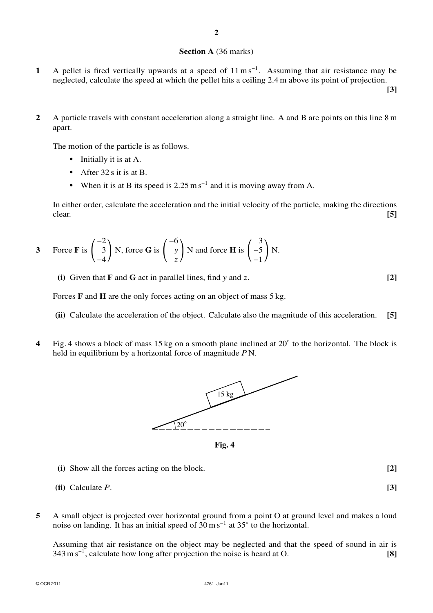# **Section A** (36 marks)

1 A pellet is fired vertically upwards at a speed of 11 m s<sup>-1</sup>. Assuming that air resistance may be neglected, calculate the speed at which the pellet hits a ceiling 2.4 m above its point of projection.

**[3]**

**2** A particle travels with constant acceleration along a straight line. A and B are points on this line 8 m apart.

The motion of the particle is as follows.

- **•** Initially it is at A.
- **•** After 32 s it is at B.
- When it is at B its speed is 2.25 m s<sup>-1</sup> and it is moving away from A.

In either order, calculate the acceleration and the initial velocity of the particle, making the directions clear. **[5]**

3 Force F is 
$$
\begin{pmatrix} -2 \\ 3 \\ -4 \end{pmatrix}
$$
 N, force G is  $\begin{pmatrix} -6 \\ y \\ z \end{pmatrix}$  N and force H is  $\begin{pmatrix} 3 \\ -5 \\ -1 \end{pmatrix}$  N.

**(i)** Given that **F** and **G** act in parallel lines, find *y* and *z*.  $[2]$ 

Forces **F** and **H** are the only forces acting on an object of mass 5 kg.

- **(ii)** Calculate the acceleration of the object. Calculate also the magnitude of this acceleration. **[5]**
- 4 Fig. 4 shows a block of mass 15 kg on a smooth plane inclined at 20° to the horizontal. The block is held in equilibrium by a horizontal force of magnitude *P* N.



**Fig. 4**

- **(i)** Show all the forces acting on the block. **[2]**
- **(ii)** Calculate *P*. **[3]**
- **5** A small object is projected over horizontal ground from a point O at ground level and makes a loud noise on landing. It has an initial speed of  $30 \text{ m s}^{-1}$  at  $35°$  to the horizontal.

Assuming that air resistance on the object may be neglected and that the speed of sound in air is 343 m s<sup>−</sup><sup>1</sup> , calculate how long after projection the noise is heard at O. **[8]**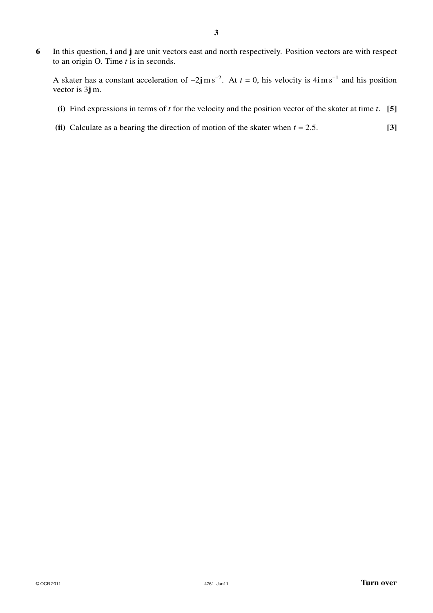**6** In this question, **i** and **j** are unit vectors east and north respectively. Position vectors are with respect to an origin O. Time *t* is in seconds.

A skater has a constant acceleration of  $-2j$  m s<sup>-2</sup>. At  $t = 0$ , his velocity is 4**i**m s<sup>-1</sup> and his position vector is 3**j** m.

- **(i)** Find expressions in terms of *t* for the velocity and the position vector of the skater at time *t*. **[5]**
- **(ii)** Calculate as a bearing the direction of motion of the skater when *t* = 2.5. **[3]**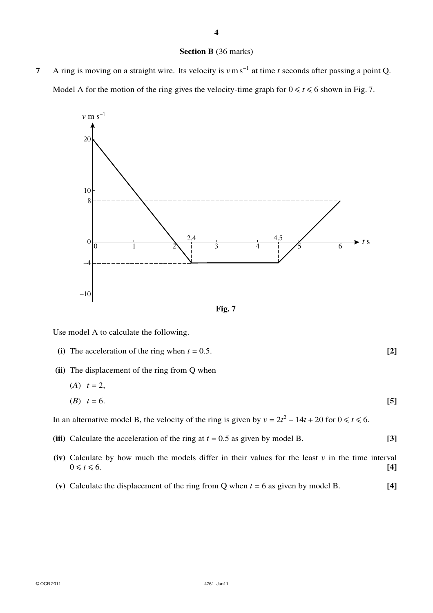### **Section B** (36 marks)

**7** A ring is moving on a straight wire. Its velocity is *v*m s<sup>−</sup><sup>1</sup> at time *t* seconds after passing a point Q. Model A for the motion of the ring gives the velocity-time graph for  $0 \le t \le 6$  shown in Fig. 7.



Use model A to calculate the following.

- **(i)** The acceleration of the ring when  $t = 0.5$ . **[2]**
- **(ii)** The displacement of the ring from Q when

(A) 
$$
t = 2
$$
,  
\n(B)  $t = 6$ . [5]

In an alternative model B, the velocity of the ring is given by  $v = 2t^2 - 14t + 20$  for  $0 \le t \le 6$ .

- **(iii)** Calculate the acceleration of the ring at  $t = 0.5$  as given by model B. **[3]**
- (iv) Calculate by how much the models differ in their values for the least *v* in the time interval  $0 \le t \le 6$ .  $0 \le t \le 6.$  [4]
- **(v)** Calculate the displacement of the ring from Q when *t* = 6 as given by model B. **[4]**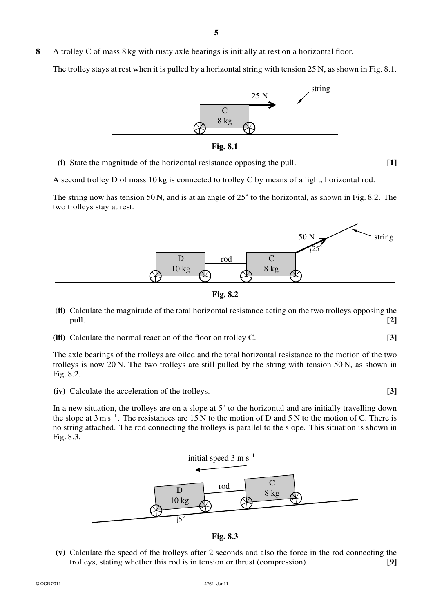**8** A trolley C of mass 8 kg with rusty axle bearings is initially at rest on a horizontal floor.

The trolley stays at rest when it is pulled by a horizontal string with tension 25 N, as shown in Fig. 8.1.





**(i)** State the magnitude of the horizontal resistance opposing the pull. **[1]**

A second trolley D of mass 10 kg is connected to trolley C by means of a light, horizontal rod.

The string now has tension 50 N, and is at an angle of  $25^\circ$  to the horizontal, as shown in Fig. 8.2. The two trolleys stay at rest.



**Fig. 8.2**

- **(ii)** Calculate the magnitude of the total horizontal resistance acting on the two trolleys opposing the pull. **[2]**
- **(iii)** Calculate the normal reaction of the floor on trolley C. **[3]**

The axle bearings of the trolleys are oiled and the total horizontal resistance to the motion of the two trolleys is now 20 N. The two trolleys are still pulled by the string with tension 50 N, as shown in Fig. 8.2.

**(iv)** Calculate the acceleration of the trolleys. **[3]**

In a new situation, the trolleys are on a slope at  $5^\circ$  to the horizontal and are initially travelling down the slope at  $3 \text{ m s}^{-1}$ . The resistances are 15 N to the motion of D and 5 N to the motion of C. There is no string attached. The rod connecting the trolleys is parallel to the slope. This situation is shown in Fig. 8.3.



**Fig. 8.3**

**(v)** Calculate the speed of the trolleys after 2 seconds and also the force in the rod connecting the trolleys, stating whether this rod is in tension or thrust (compression). **[9]**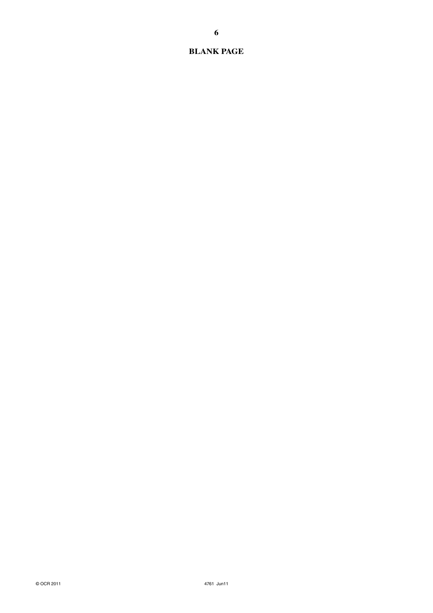# **BLANK PAGE**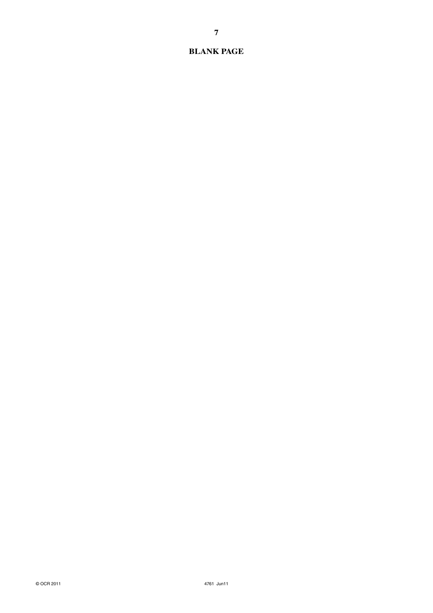# **BLANK PAGE**